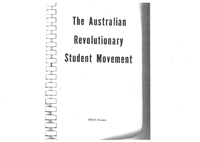

# The Australian

Revolutionary

# Student Movement

PRICE 10 cents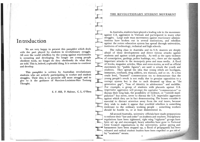# In troduc tion

.1i

We are very happy to present this pamphlet which deals with the part played by students in revolutionary struggle. All over the world rebellion by the young against reactionariesis occurring and developing. No longer are young people obedient tools, no longer do they obediently do what theyare told. This is, indeed, a splendid thing. It is certain to continue and develop.

This pamphlet is written by Australian revolutionary students who are actively participating in worker and student struggles. Their idea is to promote still more struggle and togive to it the guidance of Marxism-Leninism-Mao Tsetung Thought.

E. F. Hill, P. Malone, C. L. O'Shea

#### THE REVOLUTIONARY STUDENT MOVEMENT

In Australia, students have played a leading role in the movement ìagainst U.S. aggression in Vietnam and participated in many othet struggles. Large scale mass movements against reactionary administrations have broken out in several institutions, and rebellionagainst the rotten education system has spread through universities institutes of technology, technical and high schools.

The ruling class in Australia and its U.S. masters are deeply afraid of these developments and direct vicious attacks against students and against youth generally. As well as the open violence of conscription, gaolings, police bashíngs, etc., there are the equallyimportant attacks in the monopoly press and mass media. A flood of books, magazine articles, films and news stories, as well as official statements by "public figures", are used to attack the youth and students. They spread the idea that young rebels are hooligans, immature, confused, drug addicts, sex maniacs, and so on. At a less crude level, "learned" commentators try to demonstrate that the young people's revolt is not really due to genuine opposition to acorrupt system but is due to such dreamed up ideas as "the generation gap", "loss of identity in adolescence" and suchlike For example, a group of students with placards against U.S. imperialist aggression will prompt the capitalist "commentators" to discuss their long hair, the possibility of violence, or "outside manipulation" but never, never to discuss the U.S. imperialist aggression against which they are in fact demonstrating. The bosses consider it essential to distract attention away from the real issues, because they wish to make it appear that youthful rebellion is somethingirrelevant to the ordinary working people - something workers should be hostile to, or at least disinterested in.

by "academic" means. All around Australia, university officials have made preparations to enforce their "law and order" on students and teachers. Discþlinary regulations have been tightened, right wing "vigilante" groups havebeen set up and encouraged, heavy subsidies have gone to National Civic Council organisations in the universities, police spying andharassment have been stepped up, a flood of propaganda has been released and radical student leaders have been expelled or got rid of

> I $\mathbf{I}$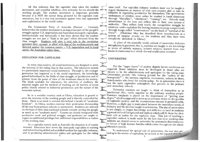All this indicates that the capitalist class takes the student movement, and youthful rebellion, very seriously. So too should the working people. The student movement is important precisely because it is NOT the unreal thing pictured by the capitalist commentators, but is a very real movement against very real oppressionand exploitation in the world today.

The Communist Party of Australia (Marxist  $-$  Leninist) believes that the student movement is an important part of the people's struggles against U.S. imperialism and Australian monopoly capitalism. Internationally and historically it has been shown that the student struggles are not just a "flash in the pan" effort divorced from theclass struggle. Students will play a vital role in the revolutio provided their struggle is allied with that of the working people and directed against the common enemy - U.S. imperialism and its local agents, the Australian ruling class.

#### EDUCATION FOR CAPITALISM

In every class society, all social institutions are designed to serve the interests of the ruling class in that society. The education system is a particularly important social institution. Through it, the younger generation has imparted to it the social experience, the knowledge gained beforehand in the fields of class struggle, of production and'ofscience, from the point of view of the dominant class in the society. The funds available for education, the selection of students, the material taught and the method of teaching are all matters of socialpolicy closely related to industrial production and the nature of theeconomic system.

So in a socialist country such as China, education is geared to serve the interests of the working peoplc and is directly controlled by them. Thère is no need to concèal thìs behind a facade of "academic freedom". In China, workers exercise their proletarian dictatorship all the way fromprimary schools to universities. Students arc selectcdon the basis of their class stand and attitude towards serving the people as much as on "academic merit". Courses are closely integrated with productive work and political struggle, and graduates are taught to expect no additional privileges but additional rcsponsibilities as cadresof the working class.

In a capitalist society such as Australia the situation is of course reversed. Education here serves the monopoly capitalists in training and indoctrinating skilled and unskilled workers for capitalist industry and in producing administrative cadres and apologists for the ruling

,

class itself. For capitalist industry workers must not be taught to regard themselves as masters of their own country able to take the initiative in organising production for themselves. The spontaneous enthusiasm of children must rather be crushed in harsh classrooms through "discipline", "obedience", "training", etc. Schools teach subservience to the boss and reflect this in their own system of authority. They reflect (and teach) the competitive struggle for existence under capitalism by forcing students to jump competitively through hoops called "examinations" on the basis of "survival of the fittest". (Chairman Mao has described these examinations as a system of surprise attacks on the students and they have been completely abolished in China.)

In place of the scientific world outlook of materialist dialectics to see knowledgearned from text books in classrooms into which the real world never intrudes!

### UNIVERSITIES

For the "upper layers" of society slightly better conditions are required. Some initiative must be developed in those who are chosen to be the administrators and apologists for the ruling class. Universities provide this training ground for the "cadres of the bourgeoisie" - the lawyers, engineers, economists, writers; in short, functionaries who keep the system going. So in universities there is not the same oppressive atmosphere that prevails in the primary and secondary schools.

intellectual elite, vastly superior to the ordinary working people University students are taught to think of themselves as an Constant emphasis is placed on the importance of "getting your degree" which is supposed to serve as an entrance ticket to the goodies of capitalist society, and the examinations rat-race is persisted with. However, a slight gap is maintained between the immediate needs of industry and the material taught in universities. The aim of universities is not simply to impart knowledge and skills but to instil in students a general cultural background and outlook which will fit them for their latcr role as cadres for the capitalist class. This job of instilling acapitalist outlook is made easier by the fact that most working class students are denied access to university by systematic discrimination In favour of high income families which exists throughout the whole education system.

To understand the special role of universities, the way they are tied up in the service of capitalism, let us look at the research they do. 3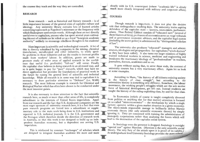the courses they teach and the way they are controlled.

#### RESEARCH

Some research  $-$  such as historical and literary research  $-$  is of little importance because of the general crisis of capitalist culturc and ideology. Any university library contains lots of learned articles concerning topics such as Napoleon's mistresses or the frequency with which Shakespeare used certain words. Although these are not directlyuseful even to capitalism, anyone who has spent several years cultivating this sort of rubbish can be relied on as a loyal "bourgeois academic authority" unlikely to encourage rebellious thoughts in his students!

More important is scientific and technological research. A lot of this is directly subsidised by big companies in the mining, chemical manufacture, metallurgical and other industries, to study specific problems in those industries and use the results to increase profits made from workers' labour. In addition, grants arc made to promote study of wider areas of applied research in the confidence that useful (i.e. profitable) "fall-out" will occur. Finally the capitalist class believes in doing rcsearch in an all-round way, andso is quite happy to pay for "pure" research, which may have no direct application but provides the foundations of practical work in the future by raising the general level of scientific and technical knowledge. While all rescarch is in some way tied to capitalism it is necessary to draw particular attention to "Defence" (i.e. WAR) research. The most hidcous example is research for Chemical and Biological Warfare which has often been shown to be conducted under the-most innocent guises.

It is also nccessary to draw attention to the fact that scientificresearch here, as much or more than other areas of life, is completely subordinate to the interests of United States imperialism. Apartfrom war research and the fact that U.S. dominated companies are the most eager sponsors of university research here, it is a fact that even pure research programs are forced into a subordinate or supplementary role to the main work being done in U.S. institutions and reported in U.S. technical journals. It is the U.S. government andthe Pentagon which therefore decide the direction of research work in Australia, so that this work is not designed to build up an independent Australian economy, but a dependent one serving U.S. imperialisrn.

This is reinforced by constant "exchanges" of scholars which are designed to integrate Australian academic life more and more

closely with its U.S. counterpart (where "academic life" is already much more closely integrated with military and corporate affairs).

## **COURSES**

'#

Elr

 $\frac{1}{2}$ 

Il{]f

 $\overline{\mathbf{r}}$ 

 $\overline{\mathbf{C}}$ 

 $\overline{\phantom{a}}$ 

r

T

r

T

-å il'vr-4- $\overline{t}$ -Õ-I'v- $\overline{\phantom{a}}$ 

role that undergraduate teaching does. The university trains assist-Though research is important, it does not play the decisive ole that undergraduate teaching does. The university trains aspiring<br>defenders of the capitalist state – lawyers economists porliament defenders of the capitalist state – lawyers, economists, parliament<br>arians. Thus Federal Cabinet consists of "educated man" (coveral a arians. Thus Federal Cabinet consists of "educated men" (several of them Masters of Arts), professors of economics serve on wage tribunals and as government economic advisors, and the capitalist legal system (including the secret police) is administered by "distinguished scholars<br>of law".

The university also produces "educated" managers and administrators, ideologists and propagandists for capitalism ("witch-doctors" as they have been called). It also turns out larger numbers of highly trained technical workers in science, medicine and engineering and inculcates the reactionary ideology of "professionalism" in teachers, journalists, doctors, academics and so on.

university courses has a very reactionary effect. Again let us look It goes without saying that, to serve these ends, the content of at some examples.

According to Marx, "the history of all hitherto existing society is the history of class struggle", but according to the universities history is something v movement, the working people'sforce of historical development taught the history of the ruling exploiting class, by and for that class.

In Economics (which of course is taught completely divorced from politics or anything else for that matter) attention is focused on so-called "micro-economics"  $-$  the mechanism by which a single factory operates within a given market situation in a given economy. The micro-minds responsible manage to brilliantly defeat Marxist economic theory (the only scientific economic theory) by simply ignoring it. They are concerned with training the administrators of monopoly corporations rather than analysing the forces which will lead to the destruction of the capitalist social system.

In Sociology even the pretence is dropped. Sociology is outright "special war" against Marxism. (Marxism is the only scientific social theory. The very fury of the attack upon it is proof of its validity. At undergraduate level University Sociology provides the more

5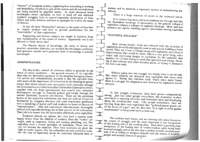"theory" of bourgeois society, explaining how everything is working out beautifully, everybody is part of the system and all contradictions are being resolved by peaceful means. At more advanced levels sociologists advise capitalism on how to head off and sidetrack workers' struggles, how to extend imperialist domination of Asia, Africa and Latin America and how to apologise for it all in the name of Science.

In fact all these "Humanities" amount to the study of how best to exploit workers and how to provide justification for the "inevitability" of that exploitation.

Engineering and Science subjects are taught in isolation from any considerations of the nature of society. Apparently one is not allowed to think about that!

The Marxist theory of knowledge, the unity of theory and practice, materialist dialectics, are avoided like the plague; confusion and ignorance outside one's particular field of knowledge is actively encouraged.

### **ADMINISTRATORS**

The day-to-day control of university affairs is generally in the hands of senior academics - the gowned servants of the capitalist class who are themselves products of the decadent bourgeois education system and enthusiastically promote it. But the capitalist class, well aware of the importance of universities in the ideological sphere, ensure their direct control over universities both nationally through the Government-controlled Australian Universities Commission (which, together with the State governments, has control over university development through its financial policy) and locally through the various University Councils and Senates. These are the governing bodies of the respective universities and they are without exception dominated by company directors and some reactionary professors with a sprinkling of junior staff and students to foster an illusion of "representation". Able and experienced administrators, thoroughly imbued with capitalist ideology, are in firm control of the universities. Their job is to ensure that the universities efficiently serve capitalism.

Technical schools are similar. But they have a student body largely drawn from the children of workers. Here the "trades" are taught, such as carpentry, fitting and turning, plumbing, etc. The capitalists need a certain minimum of tradesmen. Those who are cast out become the unskilled. Then these institutes are given the right to confer degrees. But the authorities are very careful to maintain the aura of superiority about the university educated man or

woman and to maintain a repressive system of administering these

There is a huge reservoir of revolt in the technical schools.

It is natural that more and more students see through and reject the fraudulent teachings of universities, as the general collapse of capitalism induces a collapse of capitalist ideology. More and more students are rightly rebelling against universities serving capitalism.

# "YOUTHFUL IDEALISM"

Most young people, those not infected with the cynicism of capitalism, sincerely and urgently want to take part in building a better world. They see a host of things wrong with capitalism and a host of improvements that could be made. This is a very good thing, and a major and continuing danger to capitalism. So the capitalist class spends a lot of time trying to crush this optimism and energy, diverting it into reforms and other harmless paths, or trying to harness it for their own ends.

Without going into this struggle too deeply here, it can be said, that many students are absorbed into capitalism, but many rebel against it. Within this rebellion itself, which takes many forms, there is a struggle for adaptation and diversion by capitalism and its servants.

In this struggle communist ideas have grown comparatively strong. Just like other people everywhere, the Australian student movement is rejecting reformist and revisionist ideas and developing along the revolutionary road. Like people everywhere, they are learning from their own experience that "political power grows out of the barrel of a gun" and the idea that "it is right to rebel against reactionaries" is being acted on in a mass way.

The students have learnt, and are learning still, many lessons in the course of struggle, and the most important is the recognition of the leading role of the working class. Thus there is growing mass acceptance of the leading idea of worker-student unity being built in actual struggle, and of the idea that a student is really revolutionary only if he is willing to integrate himself with the masses of working people and actually does so in practice.